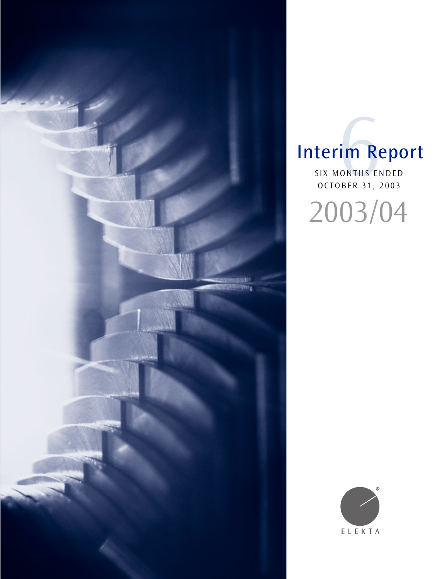

# Interim Report

SIX MONTHS ENDED OCTOBER 31, 2003 IM RONTHS E

2003/04

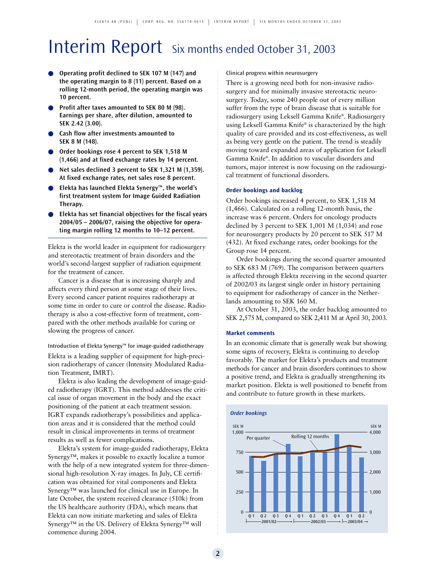# Interim Report Six months ended October 31, 2003

- **Operating profit declined to SEK 107 M (147) and the operating margin to 8 (11) percent. Based on a rolling 12-month period, the operating margin was 10 percent.**
- **Profit after taxes amounted to SEK 80 M (98). Earnings per share, after dilution, amounted to SEK 2.42 (3.00).**
- **Cash flow after investments amounted to SEK 8 M (148).**
- **Order bookings rose 4 percent to SEK 1,518 M (1,466) and at fixed exchange rates by 14 percent.**
- Net sales declined 3 percent to SEK 1,321 M (1,359). **At fixed exchange rates, net sales rose 8 percent.**
- **Elekta has launched Elekta Synergy™, the world's first treatment system for Image Guided Radiation Therapy.**
- **Elekta has set financial objectives for the fiscal years 2004/05 – 2006/07, raising the objective for operating margin rolling 12 months to 10–12 percent.**

Elekta is the world leader in equipment for radiosurgery and stereotactic treatment of brain disorders and the world's second-largest supplier of radiation equipment for the treatment of cancer.

Cancer is a disease that is increasing sharply and affects every third person at some stage of their lives. Every second cancer patient requires radiotherapy at some time in order to cure or control the disease. Radiotherapy is also a cost-effective form of treatment, compared with the other methods available for curing or slowing the progress of cancer.

### Introduction of Elekta Synergy™ for image-guided radiotherapy

Elekta is a leading supplier of equipment for high-precision radiotherapy of cancer (Intensity Modulated Radiation Treatment, IMRT).

Elekta is also leading the development of image-guided radiotherapy (IGRT). This method addresses the critical issue of organ movement in the body and the exact positioning of the patient at each treatment session. IGRT expands radiotherapy's possibilities and application areas and it is considered that the method could result in clinical improvements in terms of treatment results as well as fewer complications.

Elekta's system for image-guided radiotherapy, Elekta Synergy™, makes it possible to exactly localize a tumor with the help of a new integrated system for three-dimensional high-resolution X-ray images. In July, CE certification was obtained for vital components and Elekta Synergy™ was launched for clinical use in Europe. In late October, the system received clearance (510k) from the US healthcare authority (FDA), which means that Elekta can now initiate marketing and sales of Elekta Synergy™ in the US. Delivery of Elekta Synergy™ will commence during 2004.

Clinical progress within neurosurgery

There is a growing need both for non-invasive radiosurgery and for minimally invasive stereotactic neurosurgery. Today, some 240 people out of every million suffer from the type of brain disease that is suitable for radiosurgery using Leksell Gamma Knife®. Radiosurgery using Leksell Gamma Knife® is characterized by the high quality of care provided and its cost-effectiveness, as well as being very gentle on the patient. The trend is steadily moving toward expanded areas of application for Leksell Gamma Knife®. In addition to vascular disorders and tumors, major interest is now focusing on the radiosurgical treatment of functional disorders.

### **Order bookings and backlog**

Order bookings increased 4 percent, to SEK 1,518 M (1,466). Calculated on a rolling 12-month basis, the increase was 6 percent. Orders for oncology products declined by 3 percent to SEK 1,001 M (1,034) and rose for neurosurgery products by 20 percent to SEK 517 M (432). At fixed exchange rates, order bookings for the Group rose 14 percent.

Order bookings during the second quarter amounted to SEK 683 M (769). The comparison between quarters is affected through Elekta receiving in the second quarter of 2002/03 its largest single order in history pertaining to equipment for radiotherapy of cancer in the Netherlands amounting to SEK 160 M.

At October 31, 2003, the order backlog amounted to SEK 2,575 M, compared to SEK 2,411 M at April 30, 2003.

### **Market comments**

In an economic climate that is generally weak but showing some signs of recovery, Elekta is continuing to develop favorably. The market for Elekta's products and treatment methods for cancer and brain disorders continues to show a positive trend, and Elekta is gradually strengthening its market position. Elekta is well positioned to benefit from and contribute to future growth in these markets.

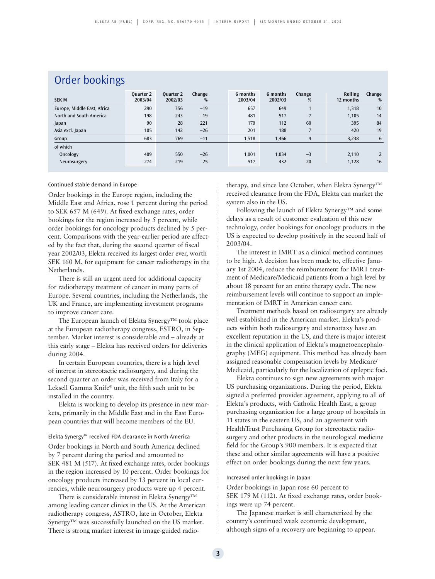| Order DOOKINGS              |                             |                      |             |                     |                     |                |                             |             |  |
|-----------------------------|-----------------------------|----------------------|-------------|---------------------|---------------------|----------------|-----------------------------|-------------|--|
| <b>SEK M</b>                | <b>Ouarter 2</b><br>2003/04 | Quarter 2<br>2002/03 | Change<br>% | 6 months<br>2003/04 | 6 months<br>2002/03 | Change<br>%    | <b>Rolling</b><br>12 months | Change<br>% |  |
| Europe, Middle East, Africa | 290                         | 356                  | $-19$       | 657                 | 649                 | $\overline{1}$ | 1,318                       | 10          |  |
| North and South America     | 198                         | 243                  | $-19$       | 481                 | 517                 | $-7$           | 1,105                       | $-14$       |  |
| Japan                       | 90                          | 28                   | 221         | 179                 | 112                 | 60             | 395                         | 84          |  |
| Asia excl. Japan            | 105                         | 142                  | $-26$       | 201                 | 188                 |                | 420                         | 19          |  |
| Group                       | 683                         | 769                  | $-11$       | 1,518               | 1,466               | 4              | 3,238                       | 6           |  |
| of which                    |                             |                      |             |                     |                     |                |                             |             |  |
| Oncology                    | 409                         | 550                  | $-26$       | 1,001               | 1,034               | $-3$           | 2,110                       |             |  |
| Neurosurgery                | 274                         | 219                  | 25          | 517                 | 432                 | 20             | 1,128                       | 16          |  |
|                             |                             |                      |             |                     |                     |                |                             |             |  |

### Order bookings

### Continued stable demand in Europe

Order bookings in the Europe region, including the Middle East and Africa, rose 1 percent during the period to SEK 657 M (649). At fixed exchange rates, order bookings for the region increased by 5 percent, while order bookings for oncology products declined by 5 percent. Comparisons with the year-earlier period are affected by the fact that, during the second quarter of fiscal year 2002/03, Elekta received its largest order ever, worth SEK 160 M, for equipment for cancer radiotherapy in the Netherlands.

There is still an urgent need for additional capacity for radiotherapy treatment of cancer in many parts of Europe. Several countries, including the Netherlands, the UK and France, are implementing investment programs to improve cancer care.

The European launch of Elekta Synergy™ took place at the European radiotherapy congress, ESTRO, in September. Market interest is considerable and – already at this early stage – Elekta has received orders for deliveries during 2004.

In certain European countries, there is a high level of interest in stereotactic radiosurgery, and during the second quarter an order was received from Italy for a Leksell Gamma Knife® unit, the fifth such unit to be installed in the country.

Elekta is working to develop its presence in new markets, primarily in the Middle East and in the East European countries that will become members of the EU.

### Elekta Synergy™ received FDA clearance in North America

Order bookings in North and South America declined by 7 percent during the period and amounted to SEK 481 M (517). At fixed exchange rates, order bookings in the region increased by 10 percent. Order bookings for oncology products increased by 13 percent in local currencies, while neurosurgery products were up 4 percent.

There is considerable interest in Elekta Synergy™ among leading cancer clinics in the US. At the American radiotherapy congress, ASTRO, late in October, Elekta Synergy™ was successfully launched on the US market. There is strong market interest in image-guided radiotherapy, and since late October, when Elekta Synergy™ received clearance from the FDA, Elekta can market the system also in the US.

Following the launch of Elekta Synergy™ and some delays as a result of customer evaluation of this new technology, order bookings for oncology products in the US is expected to develop positively in the second half of 2003/04.

The interest in IMRT as a clinical method continues to be high. A decision has been made to, effective January 1st 2004, reduce the reimbursement for IMRT treatment of Medicare/Medicaid patients from a high level by about 18 percent for an entire therapy cycle. The new reimbursement levels will continue to support an implementation of IMRT in American cancer care.

Treatment methods based on radiosurgery are already well established in the American market. Elekta's products within both radiosurgery and stereotaxy have an excellent reputation in the US, and there is major interest in the clinical application of Elekta's magnetoencephalography (MEG) equipment. This method has already been assigned reasonable compensation levels by Medicare/ Medicaid, particularly for the localization of epileptic foci.

Elekta continues to sign new agreements with major US purchasing organizations. During the period, Elekta signed a preferred provider agreement, applying to all of Elekta's products, with Catholic Health East, a group purchasing organization for a large group of hospitals in 11 states in the eastern US, and an agreement with HealthTrust Purchasing Group for stereotactic radiosurgery and other products in the neurological medicine field for the Group's 900 members. It is expected that these and other similar agreements will have a positive effect on order bookings during the next few years.

### Increased order bookings in Japan

Order bookings in Japan rose 60 percent to SEK 179 M (112). At fixed exchange rates, order bookings were up 74 percent.

The Japanese market is still characterized by the country's continued weak economic development, although signs of a recovery are beginning to appear.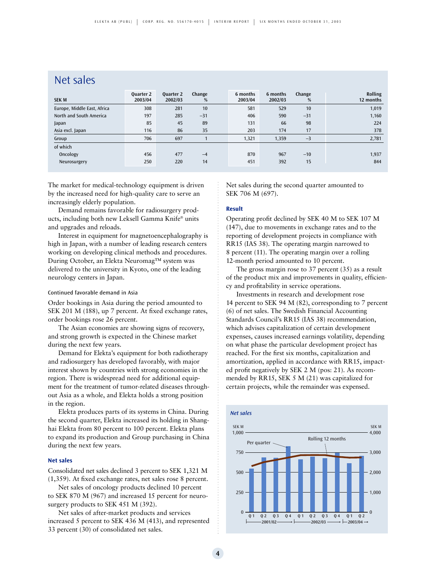### Net sales

| <b>SEK M</b>                | <b>Ouarter 2</b><br>2003/04 | <b>Ouarter 2</b><br>2002/03 | Change<br>% | 6 months<br>2003/04 | 6 months<br>2002/03 | Change<br>% | Rolling<br>12 months |
|-----------------------------|-----------------------------|-----------------------------|-------------|---------------------|---------------------|-------------|----------------------|
| Europe, Middle East, Africa | 308                         | 281                         | 10          | 581                 | 529                 | 10          | 1,019                |
| North and South America     | 197                         | 285                         | $-31$       | 406                 | 590                 | $-31$       | 1,160                |
| Japan                       | 85                          | 45                          | 89          | 131                 | 66                  | 98          | 224                  |
| Asia excl. Japan            | 116                         | 86                          | 35          | 203                 | 174                 | 17          | 378                  |
| Group                       | 706                         | 697                         |             | 1,321               | 1,359               | $-3$        | 2,781                |
| of which                    |                             |                             |             |                     |                     |             |                      |
| Oncology                    | 456                         | 477                         | $-4$        | 870                 | 967                 | $-10$       | 1,937                |
| Neurosurgery                | 250                         | 220                         | 14          | 451                 | 392                 | 15          | 844                  |

The market for medical-technology equipment is driven by the increased need for high-quality care to serve an increasingly elderly population.

Demand remains favorable for radiosurgery products, including both new Leksell Gamma Knife® units and upgrades and reloads.

Interest in equipment for magnetoencephalography is high in Japan, with a number of leading research centers working on developing clinical methods and procedures. During October, an Elekta Neuromag™ system was delivered to the university in Kyoto, one of the leading neurology centers in Japan.

### Continued favorable demand in Asia

Order bookings in Asia during the period amounted to SEK 201 M (188), up 7 percent. At fixed exchange rates, order bookings rose 26 percent.

The Asian economies are showing signs of recovery, and strong growth is expected in the Chinese market during the next few years.

Demand for Elekta's equipment for both radiotherapy and radiosurgery has developed favorably, with major interest shown by countries with strong economies in the region. There is widespread need for additional equipment for the treatment of tumor-related diseases throughout Asia as a whole, and Elekta holds a strong position in the region.

Elekta produces parts of its systems in China. During the second quarter, Elekta increased its holding in Shanghai Elekta from 80 percent to 100 percent. Elekta plans to expand its production and Group purchasing in China during the next few years.

### **Net sales**

Consolidated net sales declined 3 percent to SEK 1,321 M (1,359). At fixed exchange rates, net sales rose 8 percent.

Net sales of oncology products declined 10 percent to SEK 870 M (967) and increased 15 percent for neurosurgery products to SEK 451 M (392).

Net sales of after-market products and services increased 5 percent to SEK 436 M (413), and represented 33 percent (30) of consolidated net sales.

Net sales during the second quarter amounted to SEK 706 M (697).

#### **Result**

Operating profit declined by SEK 40 M to SEK 107 M (147), due to movements in exchange rates and to the reporting of development projects in compliance with RR15 (IAS 38). The operating margin narrowed to 8 percent (11). The operating margin over a rolling 12-month period amounted to 10 percent.

The gross margin rose to 37 percent (35) as a result of the product mix and improvements in quality, efficiency and profitability in service operations.

Investments in research and development rose 14 percent to SEK 94 M (82), corresponding to 7 percent (6) of net sales. The Swedish Financial Accounting Standards Council's RR15 (IAS 38) recommendation, which advises capitalization of certain development expenses, causes increased earnings volatility, depending on what phase the particular development project has reached. For the first six months, capitalization and amortization, applied in accordance with RR15, impacted profit negatively by SEK 2 M (pos: 21). As recommended by RR15, SEK 5 M (21) was capitalized for certain projects, while the remainder was expensed.

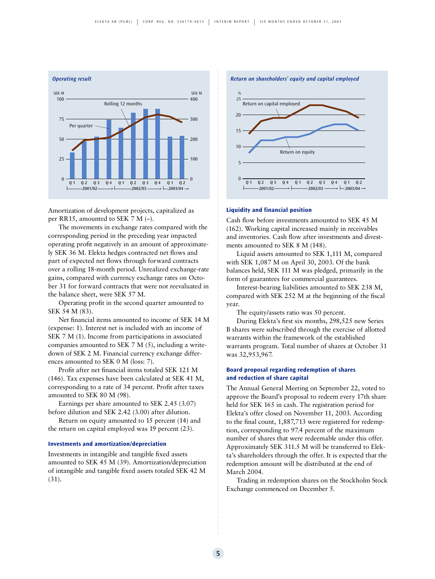

Amortization of development projects, capitalized as per RR15, amounted to SEK 7 M (–).

The movements in exchange rates compared with the corresponding period in the preceding year impacted operating profit negatively in an amount of approximately SEK 36 M. Elekta hedges contracted net flows and part of expected net flows through forward contracts over a rolling 18-month period. Unrealized exchange-rate gains, compared with currency exchange rates on October 31 for forward contracts that were not reevaluated in the balance sheet, were SEK 57 M.

Operating profit in the second quarter amounted to SEK 54 M (83).

Net financial items amounted to income of SEK 14 M (expense: 1). Interest net is included with an income of SEK 7 M (1). Income from participations in associated companies amounted to SEK 7 M (5), including a writedown of SEK 2 M. Financial currency exchange differences amounted to SEK 0 M (loss: 7).

Profit after net financial items totaled SEK 121 M (146). Tax expenses have been calculated at SEK 41 M, corresponding to a rate of 34 percent. Profit after taxes amounted to SEK 80 M (98).

Earnings per share amounted to SEK 2.45 (3.07) before dilution and SEK 2.42 (3.00) after dilution.

Return on equity amounted to 15 percent (14) and the return on capital employed was 19 percent (23).

### **Investments and amortization/depreciation**

Investments in intangible and tangible fixed assets amounted to SEK 45 M (39). Amortization/depreciation of intangible and tangible fixed assets totaled SEK 42 M (31).



#### **Liquidity and financial position**

Cash flow before investments amounted to SEK 45 M (162). Working capital increased mainly in receivables and inventories. Cash flow after investments and divestments amounted to SEK 8 M (148).

Liquid assets amounted to SEK 1,111 M, compared with SEK 1,087 M on April 30, 2003. Of the bank balances held, SEK 111 M was pledged, primarily in the form of guarantees for commercial guarantees.

Interest-bearing liabilities amounted to SEK 238 M, compared with SEK 252 M at the beginning of the fiscal year.

The equity/assets ratio was 50 percent.

During Elekta's first six months, 298,525 new Series B shares were subscribed through the exercise of allotted warrants within the framework of the established warrants program. Total number of shares at October 31 was 32,953,967.

### **Board proposal regarding redemption of shares and reduction of share capital**

The Annual General Meeting on September 22, voted to approve the Board's proposal to redeem every 17th share held for SEK 165 in cash. The registration period for Elekta's offer closed on November 11, 2003. According to the final count, 1,887,713 were registered for redemption, corresponding to 97.4 percent of the maximum number of shares that were redeemable under this offer. Approximately SEK 311.5 M will be transferred to Elekta's shareholders through the offer. It is expected that the redemption amount will be distributed at the end of March 2004.

Trading in redemption shares on the Stockholm Stock Exchange commenced on December 5.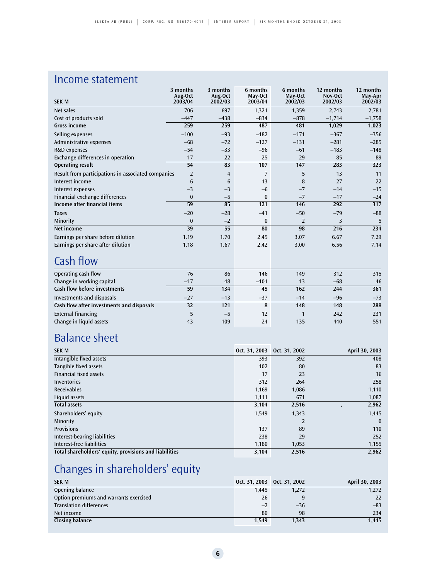## Income statement

| <b>SEK M</b>                                       | 3 months<br>Aug-Oct<br>2003/04 | 3 months<br>Aug-Oct<br>2002/03 | 6 months<br>May-Oct<br>2003/04 | 6 months<br>May-Oct<br>2002/03 | 12 months<br>Nov-Oct<br>2002/03 | 12 months<br>May-Apr<br>2002/03 |
|----------------------------------------------------|--------------------------------|--------------------------------|--------------------------------|--------------------------------|---------------------------------|---------------------------------|
| Net sales                                          | 706                            | 697                            | 1,321                          | 1,359                          | 2,743                           | 2,781                           |
| Cost of products sold                              | $-447$                         | $-438$                         | $-834$                         | $-878$                         | $-1,714$                        | $-1,758$                        |
| Gross income                                       | 259                            | 259                            | 487                            | 481                            | 1,029                           | 1,023                           |
| Selling expenses                                   | $-100$                         | $-93$                          | $-182$                         | $-171$                         | $-367$                          | $-356$                          |
| Administrative expenses                            | $-68$                          | $-72$                          | $-127$                         | $-131$                         | $-281$                          | $-285$                          |
| R&D expenses                                       | $-54$                          | $-33$                          | $-96$                          | $-61$                          | $-183$                          | $-148$                          |
| Exchange differences in operation                  | 17                             | 22                             | 25                             | 29                             | 85                              | 89                              |
| <b>Operating result</b>                            | 54                             | 83                             | 107                            | 147                            | 283                             | 323                             |
| Result from participations in associated companies | $\overline{2}$                 | $\overline{4}$                 | 7                              | 5                              | 13                              | 11                              |
| Interest income                                    | 6                              | 6                              | 13                             | 8                              | 27                              | 22                              |
| Interest expenses                                  | $-3$                           | $-3$                           | $-6$                           | $-7$                           | $-14$                           | $-15$                           |
| Financial exchange differences                     | $\mathbf{0}$                   | $-5$                           | $\bf{0}$                       | $-7$                           | $-17$                           | $-24$                           |
| Income after financial items                       | 59                             | 85                             | 121                            | 146                            | 292                             | 317                             |
| <b>Taxes</b>                                       | $-20$                          | $-28$                          | $-41$                          | $-50$                          | $-79$                           | $-88$                           |
| Minority                                           | $\bf{0}$                       | $-2$                           | $\bf{0}$                       | $\overline{2}$                 | 3                               | 5                               |
| Net income                                         | 39                             | 55                             | 80                             | 98                             | 216                             | 234                             |
| Earnings per share before dilution                 | 1.19                           | 1.70                           | 2.45                           | 3.07                           | 6.67                            | 7.29                            |
| Earnings per share after dilution                  | 1.18                           | 1.67                           | 2.42                           | 3.00                           | 6.56                            | 7.14                            |
| $C = \frac{1}{2}$ $\frac{1}{2}$                    |                                |                                |                                |                                |                                 |                                 |

### Cash flow

| Operating cash flow                       | 76    | 86    | 146    | 149   | 312   | 315   |
|-------------------------------------------|-------|-------|--------|-------|-------|-------|
| Change in working capital                 | $-17$ | 48    | $-101$ | 13    | $-68$ | 46    |
| <b>Cash flow before investments</b>       | 59    | 134   | 45     | 162   | 244   | 361   |
| Investments and disposals                 | $-27$ | $-13$ | $-37$  | $-14$ | $-96$ | $-73$ |
| Cash flow after investments and disposals | 32    | 121   | 8      | 148   | 148   | 288   |
| External financing                        |       | $-5$  | 12     |       | 242   | 231   |
| Change in liquid assets                   | 43    | 109   | 24     | 135   | 440   | 551   |
|                                           |       |       |        |       |       |       |

# Balance sheet

| <b>SEK M</b>                                           | Oct. 31, 2003 Oct. 31, 2002 |                | April 30, 2003 |
|--------------------------------------------------------|-----------------------------|----------------|----------------|
| Intangible fixed assets                                | 393                         | 392            | 408            |
| Tangible fixed assets                                  | 102                         | 80             | 83             |
| <b>Financial fixed assets</b>                          | 17                          | 23             | 16             |
| Inventories                                            | 312                         | 264            | 258            |
| <b>Receivables</b>                                     | 1,169                       | 1,086          | 1,110          |
| Liquid assets                                          | 1,111                       | 671            | 1,087          |
| <b>Total assets</b>                                    | 3,104                       | 2,516          | 2,962          |
| Shareholders' equity                                   | 1,549                       | 1,343          | 1,445          |
| Minority                                               |                             | $\overline{2}$ | $\mathbf{0}$   |
| <b>Provisions</b>                                      | 137                         | 89             | 110            |
| Interest-bearing liabilities                           | 238                         | 29             | 252            |
| Interest-free liabilities                              | 1,180                       | 1,053          | 1,155          |
| Total shareholders' equity, provisions and liabilities | 3,104                       | 2,516          | 2,962          |

# Changes in shareholders' equity

| <b>SEK M</b>                           |       | Oct. 31, 2003 Oct. 31, 2002 | April 30, 2003 |
|----------------------------------------|-------|-----------------------------|----------------|
| Opening balance                        | 1.445 | 1,272                       | 1,272          |
| Option premiums and warrants exercised | 26    |                             | 22             |
| <b>Translation differences</b>         | $-2$  | $-36$                       | $-83$          |
| Net income                             | 80    | 98                          | 234            |
| Closing balance                        | 1.549 | 1.343                       | 1.445          |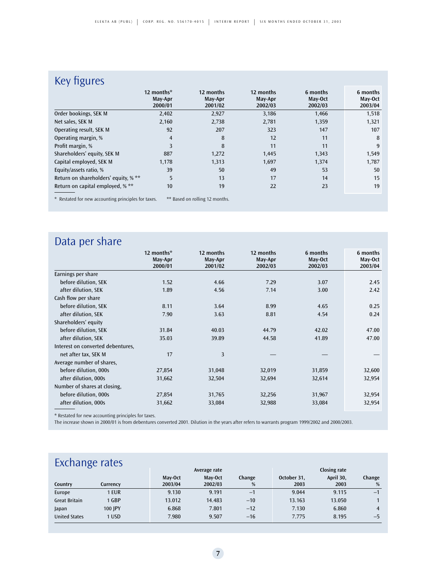# Key figures

| ັ                                                   | 12 months*<br>May-Apr<br>2000/01 | 12 months<br>May-Apr<br>2001/02 | 12 months<br>May-Apr<br>2002/03 | 6 months<br>May-Oct<br>2002/03 | 6 months<br>May-Oct<br>2003/04 |
|-----------------------------------------------------|----------------------------------|---------------------------------|---------------------------------|--------------------------------|--------------------------------|
| Order bookings, SEK M                               | 2,402                            | 2,927                           | 3,186                           | 1,466                          | 1,518                          |
| Net sales, SEK M                                    | 2,160                            | 2,738                           | 2,781                           | 1,359                          | 1,321                          |
| Operating result, SEK M                             | 92                               | 207                             | 323                             | 147                            | 107                            |
| Operating margin, %                                 | 4                                | 8                               | 12                              | 11                             | 8                              |
| Profit margin, %                                    | 3                                | 8                               | 11                              | 11                             | 9                              |
| Shareholders' equity, SEK M                         | 887                              | 1,272                           | 1,445                           | 1,343                          | 1,549                          |
| Capital employed, SEK M                             | 1,178                            | 1,313                           | 1,697                           | 1,374                          | 1,787                          |
| Equity/assets ratio, %                              | 39                               | 50                              | 49                              | 53                             | 50                             |
| Return on shareholders' equity, % **                | 5                                | 13                              | 17                              | 14                             | 15                             |
| Return on capital employed, % **                    | 10                               | 19                              | 22                              | 23                             | 19                             |
| * Restated for new accounting principles for taxes. |                                  | ** Based on rolling 12 months.  |                                 |                                |                                |

## Data per share

|                                   | 12 months*<br>May-Apr<br>2000/01 | 12 months<br>May-Apr<br>2001/02 | 12 months<br>May-Apr<br>2002/03 | 6 months<br>May-Oct<br>2002/03 | 6 months<br>May-Oct<br>2003/04 |
|-----------------------------------|----------------------------------|---------------------------------|---------------------------------|--------------------------------|--------------------------------|
| Earnings per share                |                                  |                                 |                                 |                                |                                |
| before dilution, SEK              | 1.52                             | 4.66                            | 7.29                            | 3.07                           | 2.45                           |
| after dilution, SEK               | 1.89                             | 4.56                            | 7.14                            | 3.00                           | 2.42                           |
| Cash flow per share               |                                  |                                 |                                 |                                |                                |
| before dilution, SEK              | 8.11                             | 3.64                            | 8.99                            | 4.65                           | 0.25                           |
| after dilution, SEK               | 7.90                             | 3.63                            | 8.81                            | 4.54                           | 0.24                           |
| Shareholders' equity              |                                  |                                 |                                 |                                |                                |
| before dilution, SEK              | 31.84                            | 40.03                           | 44.79                           | 42.02                          | 47.00                          |
| after dilution, SEK               | 35.03                            | 39.89                           | 44.58                           | 41.89                          | 47.00                          |
| Interest on converted debentures, |                                  |                                 |                                 |                                |                                |
| net after tax, SEK M              | 17                               | 3                               |                                 |                                |                                |
| Average number of shares,         |                                  |                                 |                                 |                                |                                |
| before dilution, 000s             | 27,854                           | 31,048                          | 32,019                          | 31,859                         | 32,600                         |
| after dilution, 000s              | 31,662                           | 32,504                          | 32,694                          | 32,614                         | 32,954                         |
| Number of shares at closing,      |                                  |                                 |                                 |                                |                                |
| before dilution, 000s             | 27,854                           | 31,765                          | 32,256                          | 31,967                         | 32,954                         |
| after dilution, 000s              | 31,662                           | 33,084                          | 32,988                          | 33,084                         | 32,954                         |

\* Restated for new accounting principles for taxes.

The increase shown in 2000/01 is from debentures converted 2001. Dilution in the years after refers to warrants program 1999/2002 and 2000/2003.

### **Exchange rates**

|                      | L<br>Average rate |                    |                    |             |                     | Closing rate      |             |  |  |
|----------------------|-------------------|--------------------|--------------------|-------------|---------------------|-------------------|-------------|--|--|
| Country              | Currency          | May-Oct<br>2003/04 | May-Oct<br>2002/03 | Change<br>% | October 31,<br>2003 | April 30,<br>2003 | Change<br>% |  |  |
| Europe               | 1 EUR             | 9.130              | 9.191              | $-1$        | 9.044               | 9.115             | $-1$        |  |  |
| <b>Great Britain</b> | 1 GBP             | 13.012             | 14.483             | $-10$       | 13.163              | 13.050            |             |  |  |
| Japan                | 100 IPY           | 6.868              | 7.801              | $-12$       | 7.130               | 6.860             |             |  |  |
| <b>United States</b> | 1 USD             | 7.980              | 9.507              | $-16$       | 7.775               | 8.195             | $-5$        |  |  |